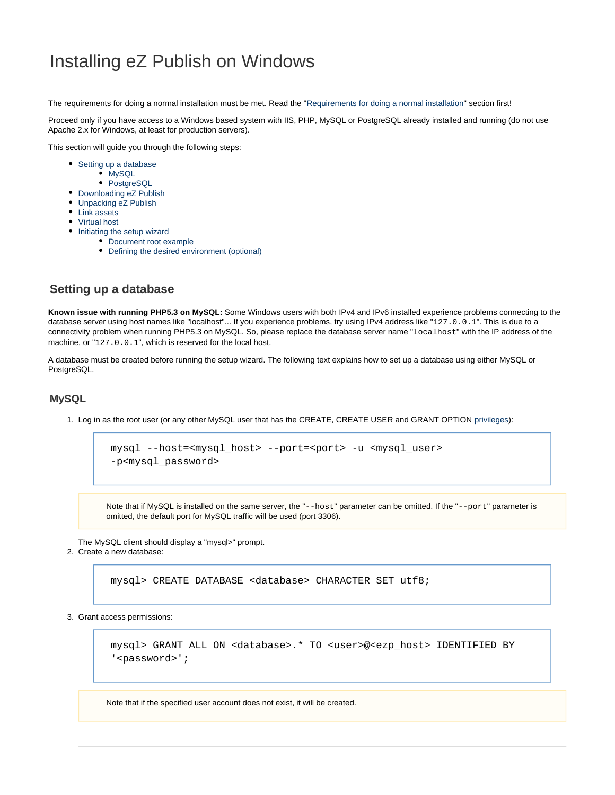# Installing eZ Publish on Windows

The requirements for doing a normal installation must be met. Read the ["Requirements for doing a normal installation"](https://doc.ez.no/display/EZP52/Requirements+for+doing+a+normal+installation) section first!

Proceed only if you have access to a Windows based system with IIS, PHP, MySQL or PostgreSQL already installed and running (do not use Apache 2.x for Windows, at least for production servers).

This section will guide you through the following steps:

- [Setting up a database](#page-0-0)
	- [MySQL](#page-0-1)
	- [PostgreSQL](#page-1-0)
- [Downloading eZ Publish](#page-2-0)
- [Unpacking eZ Publish](#page-2-1)
- [Link assets](#page-2-2)
- [Virtual host](#page-2-3) • [Initiating the setup wizard](#page-2-4)
	- [Document root example](#page-3-0)
		- [Defining the desired environment \(optional\)](#page-3-1)

# <span id="page-0-0"></span>**Setting up a database**

**Known issue with running PHP5.3 on MySQL:** Some Windows users with both IPv4 and IPv6 installed experience problems connecting to the database server using host names like "localhost"... If you experience problems, try using IPv4 address like "127.0.0.1". This is due to a connectivity problem when running PHP5.3 on MySQL. So, please replace the database server name "localhost" with the IP address of the machine, or "127.0.0.1", which is reserved for the local host.

A database must be created before running the setup wizard. The following text explains how to set up a database using either MySQL or PostgreSQL.

#### <span id="page-0-1"></span>**MySQL**

1. Log in as the root user (or any other MySQL user that has the CREATE, CREATE USER and GRANT OPTION [privileges](http://dev.mysql.com/doc/refman/5.1/en/privileges-provided.html)):

```
mysql --host=<mysql_host> --port=<port> -u <mysql_user>
-p<mysql_password>
```
Note that if MySQL is installed on the same server, the "--host" parameter can be omitted. If the "--port" parameter is omitted, the default port for MySQL traffic will be used (port 3306).

The MySQL client should display a "mysql>" prompt.

2. Create a new database:

mysql> CREATE DATABASE <database> CHARACTER SET utf8;

3. Grant access permissions:

mysql> GRANT ALL ON <database>.\* TO <user>@<ezp\_host> IDENTIFIED BY '<password>';

Note that if the specified user account does not exist, it will be created.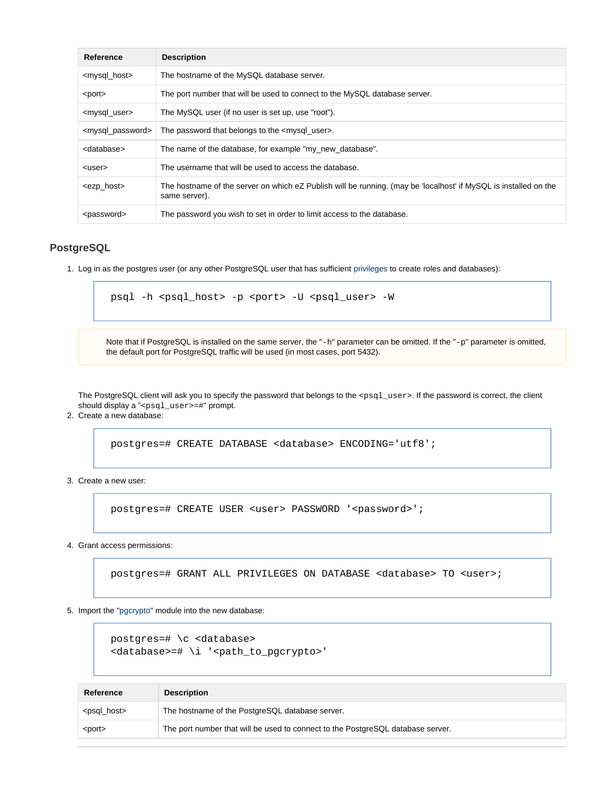| Reference                         | <b>Description</b>                                                                                                                |
|-----------------------------------|-----------------------------------------------------------------------------------------------------------------------------------|
| <mysql_host></mysql_host>         | The hostname of the MySQL database server.                                                                                        |
| <port></port>                     | The port number that will be used to connect to the MySQL database server.                                                        |
| <mysql_user></mysql_user>         | The MySQL user (if no user is set up, use "root").                                                                                |
| <mysql_password></mysql_password> | The password that belongs to the $\leq$ mysql user >.                                                                             |
| <database></database>             | The name of the database, for example "my new database".                                                                          |
| <user></user>                     | The username that will be used to access the database.                                                                            |
| <ezp_host></ezp_host>             | The hostname of the server on which eZ Publish will be running. (may be 'localhost' if MySQL is installed on the<br>same server). |
| <password></password>             | The password you wish to set in order to limit access to the database.                                                            |

#### <span id="page-1-0"></span>**PostgreSQL**

1. Log in as the postgres user (or any other PostgreSQL user that has sufficient [privileges](http://www.postgresql.org/docs/current/interactive/sql-grant.html) to create roles and databases):

```
psql -h <psql_host> -p <port> -U <psql_user> -W
```
Note that if PostgreSQL is installed on the same server, the "-h" parameter can be omitted. If the "-p" parameter is omitted, the default port for PostgreSQL traffic will be used (in most cases, port 5432).

The PostgreSQL client will ask you to specify the password that belongs to the < $psq1_usesr>$ . If the password is correct, the client should display a "<psql\_user>=#" prompt.

2. Create a new database:

postgres=# CREATE DATABASE <database> ENCODING='utf8';

3. Create a new user:

postgres=# CREATE USER <user> PASSWORD '<password>';

4. Grant access permissions:

postgres=# GRANT ALL PRIVILEGES ON DATABASE <database> TO <user>;

5. Import the ["pgcrypto"](http://www.postgresql.org/docs/8.3/static/pgcrypto.html) module into the new database:

```
postgres=# \c <database>
<database>=# \i '<path_to_pgcrypto>'
```

| Reference               | <b>Description</b>                                                              |
|-------------------------|---------------------------------------------------------------------------------|
| <psql_host></psql_host> | The hostname of the PostgreSQL database server.                                 |
| <port></port>           | The port number that will be used to connect to the PostgreSQL database server. |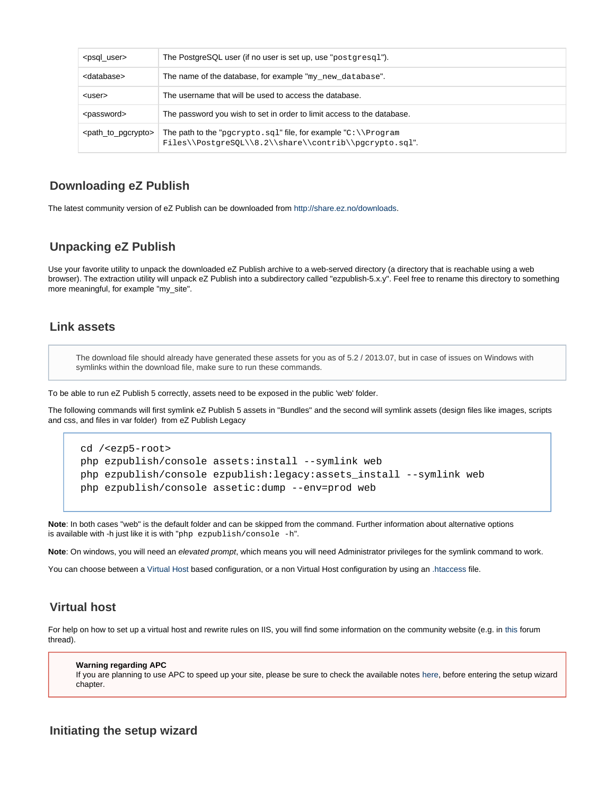| <psql_user></psql_user>               | The PostgreSQL user (if no user is set up, use "postgresq1").                                                                    |
|---------------------------------------|----------------------------------------------------------------------------------------------------------------------------------|
| <database></database>                 | The name of the database, for example "my_new_database".                                                                         |
| <user></user>                         | The username that will be used to access the database.                                                                           |
| <password></password>                 | The password you wish to set in order to limit access to the database.                                                           |
| <path_to_pgcrypto></path_to_pgcrypto> | The path to the "pgcrypto.sql" file, for example " $C:\1$ Program<br>$Files\\PostgresQL\\8.2\\share\\control\\operatorpto.sql'.$ |

# <span id="page-2-0"></span>**Downloading eZ Publish**

The latest community version of eZ Publish can be downloaded from [http://share.ez.no/downloads.](http://share.ez.no/downloads)

# <span id="page-2-1"></span>**Unpacking eZ Publish**

Use your favorite utility to unpack the downloaded eZ Publish archive to a web-served directory (a directory that is reachable using a web browser). The extraction utility will unpack eZ Publish into a subdirectory called "ezpublish-5.x.y". Feel free to rename this directory to something more meaningful, for example "my\_site".

## <span id="page-2-2"></span>**Link assets**

The download file should already have generated these assets for you as of 5.2 / 2013.07, but in case of issues on Windows with symlinks within the download file, make sure to run these commands.

To be able to run eZ Publish 5 correctly, assets need to be exposed in the public 'web' folder.

The following commands will first symlink eZ Publish 5 assets in "Bundles" and the second will symlink assets (design files like images, scripts and css, and files in var folder) from eZ Publish Legacy

```
cd /<ezp5-root>
php ezpublish/console assets:install --symlink web
php ezpublish/console ezpublish:legacy:assets_install --symlink web
php ezpublish/console assetic:dump --env=prod web
```
**Note**: In both cases "web" is the default folder and can be skipped from the command. Further information about alternative options is available with -h just like it is with "php ezpublish/console -h".

**Note**: On windows, you will need an elevated prompt, which means you will need Administrator privileges for the symlink command to work.

You can choose between a [Virtual Host](https://doc.ez.no/display/EZP52/Virtual+host+setup) based configuration, or a non Virtual Host configuration by using an [.htaccess](https://doc.ez.no/display/EZP52/htaccess+example) file.

#### <span id="page-2-3"></span>**Virtual host**

For help on how to set up a virtual host and rewrite rules on IIS, you will find some information on the community website (e.g. in [this](http://share.ez.no/forums/install-configuration/windows-server-2008-r2-iis7-its-rewrite-module-ez-publish-rewrite-rule) forum thread).

#### **Warning regarding APC**

If you are planning to use APC to speed up your site, please be sure to check the available notes [here,](https://confluence.ez.no/display/EZP/Persistence+cache+configuration#Persistencecacheconfiguration-APC) before entering the setup wizard chapter.

### <span id="page-2-4"></span>**Initiating the setup wizard**